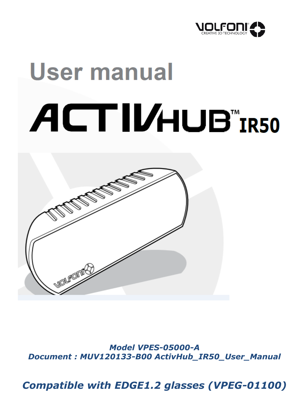

# User manual ACTIVHUB"IR50



*Model VPES-05000-A Document : MUV120133-B00 ActivHub\_IR50\_User\_Manual*

*Compatible with EDGE1.2 glasses (VPEG-01100)*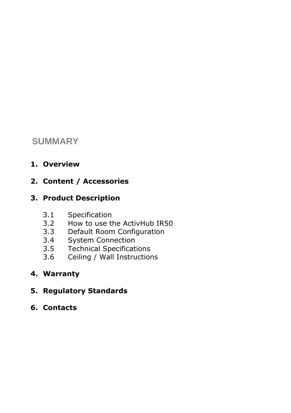# **SUMMARY**

**1. Overview**

## **2. Content / Accessories**

### **3. Product Description**

- 3.1 Specification
- 3.2 How to use the ActivHub IR50
- 3.3 Default Room Configuration
- 3.4 System Connection
- 3.5 Technical Specifications
- 3.6 Ceiling / Wall Instructions
- **4. Warranty**
- **5. Regulatory Standards**
- **6. Contacts**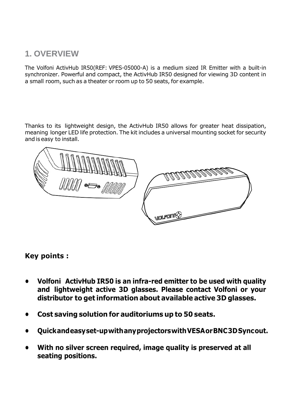## **1. OVERVIEW**

The Volfoni ActivHub IR50(REF: VPES-05000-A) is a medium sized IR Emitter with a built-in synchronizer. Powerful and compact, the ActivHub IR50 designed for viewing 3D content in a small room, such as a theater or room up to 50 seats, for example.

Thanks to its lightweight design, the ActivHub IR50 allows for greater heat dissipation, meaning longer LED life protection. The kit includes a universal mounting socket for security andis easy to install.



#### **Key points :**

- **• Volfoni ActivHub IR50 is an infra-red emitter to be used with quality and lightweight active 3D glasses. Please contact Volfoni or your distributor to get information about availableactive 3D glasses.**
- **• Cost saving solution for auditoriums up to 50 seats.**
- **• Quickandeasyset-upwithanyprojectorswithVESAorBNC3DSyncout.**
- **• With no silver screen required, image quality is preserved at all seating positions.**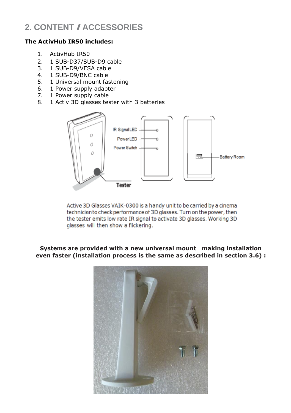# **2. CONTENT /ACCESSORIES**

#### **The ActivHub IR50 includes:**

- 1. ActivHub IR50
- 2. 1 SUB-D37/SUB-D9 cable
- 3. 1 SUB-D9/VESA cable
- 4. 1 SUB-D9/BNC cable
- 5. 1 Universal mount fastening
- 6. 1 Power supply adapter
- 7. 1 Power supply cable
- 8. 1 Activ 3D glasses tester with 3 batteries



Active 3D Glasses VAIK-0300 is a handy unit to be carried by a cinema technicianto check performance of 3D glasses. Turn on the power, then the tester emits low rate IR signal to activate 3D glasses. Working 3D glasses will then show a flickering.

#### **Systems are provided with a new universal mount making installation even faster (installation process is the same as described in section 3.6) :**

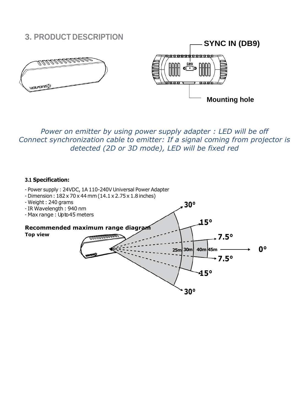# **3. PRODUCT DESCRIPTION SYNC IN (DB9)** <del>ooooodooooo</del>o <u>MANNING S</u> **POD Mounting hole**

*Power on emitter by using power supply adapter : LED will be off Connect synchronization cable to emitter: If a signal coming from projector is detected (2D or 3D mode), LED will be fixed red*

#### **3.1 Specification:**

- Power supply : 24VDC, 1A 110-240V Universal Power Adapter - Dimension: 182x 70x 44mm(14.1 x 2.75x 1.8 inches) - Weight : 240 grams - IR Wavelength : 940 nm - Max range : Up to 45 meters **Recommended maximum range diagram Top view 30° 25m 30m 30° 15° 40m 45m 15° 7.5° 0° 7.5°**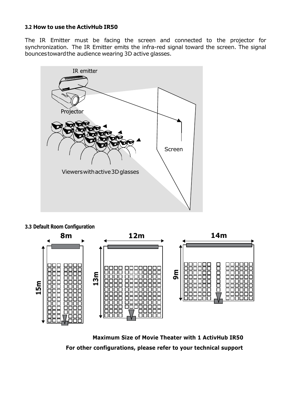#### **3.2 How to use the ActivHub IR50**

The IR Emitter must be facing the screen and connected to the projector for synchronization. The IR Emitter emits the infra-red signal toward the screen. The signal bouncestowardthe audience wearing 3D active glasses.





**Maximum Size of Movie Theater with 1 ActivHub IR50 For other configurations, please refer to your technical support**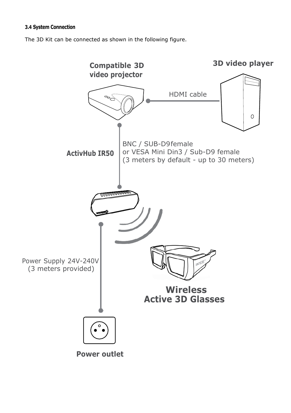#### **3.4 System Connection**

The 3D Kit can be connected as shown in the following figure.

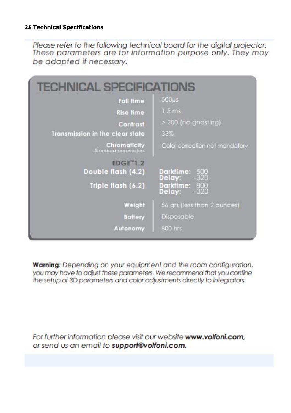#### **3.5 Technical Specifications**

Please refer to the following technical board for the digital projector. These parameters are for information purpose only. They may be adapted if necessary.

| <b>TECHNICAL SPECIFICATIONS</b>                             |                                        |
|-------------------------------------------------------------|----------------------------------------|
| <b>Fall time</b>                                            | $500\mu s$                             |
| Rise time                                                   | 1.5 <sub>ms</sub>                      |
| Contrast                                                    | > 200 (no ghosting)                    |
| <b>Transmission in the clear state</b>                      | 33%                                    |
| <b>Chromaticity</b><br><b>Standard parameters</b>           | Color correction not mandatory         |
| <b>EDGE"1.2</b><br>Double flash (4.2)<br>Triple flash (6.2) | <b>Darktime:</b><br>500<br>Delay:      |
|                                                             | Darktime: 800<br>Delay: -320<br>Delay: |
| Weight                                                      | 56 grs (less than 2 ounces)            |
| <b>Battery</b>                                              | Disposable                             |
| <b>Autonomy</b>                                             | 800 hrs                                |

Warning: Depending on your equipment and the room configuration, you may have to adjust these parameters. We recommend that you confine the setup of 3D parameters and color adjustments directly to integrators.

For further information please visit our website www.volfoni.com, or send us an email to support@volfoni.com.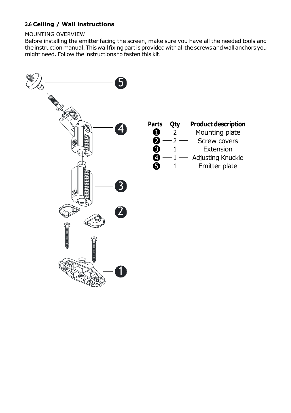#### **3.6 Ceiling / Wall instructions**

#### MOUNTING OVERVIEW

Before installing the emitter facing the screen, make sure you have all the needed tools and the instruction manual. This wall fixing part is provided with all the screws and wall anchors you might need. Follow the instructions to fasten this kit.

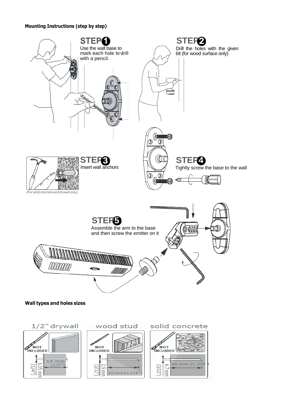#### **Mounting Instructions (step by step)**